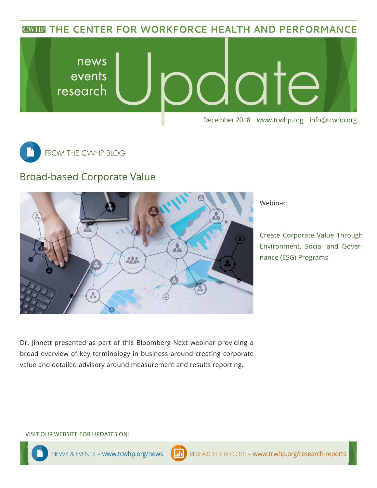**CWHP THE CENTER FOR WORKFORCE HEALTH AND PERFORMANCE** 





## Broad-based Corporate Value



Webinar:

[Create Corporate Value Through](https://learning.bloombergnext.com/catalog/resources.xhtml?eid=9927&xbc-enc=IMTJ2-eNiX0miK3Ehk3Hl8zskBvTvf7I) [Environment, Social and Gover](https://learning.bloombergnext.com/catalog/resources.xhtml?eid=9927&xbc-enc=IMTJ2-eNiX0miK3Ehk3Hl8zskBvTvf7I)[nance \(ESG\) Programs](https://learning.bloombergnext.com/catalog/resources.xhtml?eid=9927&xbc-enc=IMTJ2-eNiX0miK3Ehk3Hl8zskBvTvf7I)

Dr. Jinnett presented as part of this Bloomberg Next webinar providing a broad overview of key terminology in business around creating corporate value and detailed advisory around measurement and results reporting.

#### VISIT OUR WEBSITE FOR UPDATES ON: